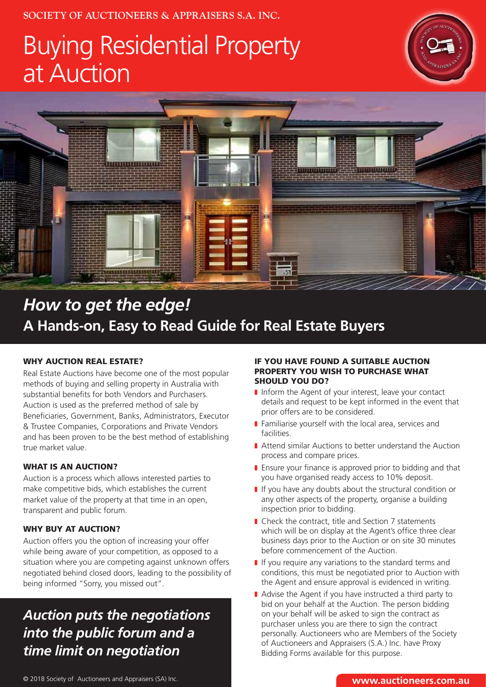**SOCIETY OF AUCTIONEERS & APPRAISERS S.A. INC.**

# Buying Residential Property at Auction





## *How to get the edge!* **A Hands-on, Easy to Read Guide for Real Estate Buyers**

### WHY AUCTION REAL ESTATE?

Real Estate Auctions have become one of the most popular methods of buying and selling property in Australia with substantial benefits for both Vendors and Purchasers. Auction is used as the preferred method of sale by Beneficiaries, Government, Banks, Administrators, Executor & Trustee Companies, Corporations and Private Vendors and has been proven to be the best method of establishing true market value.

#### WHAT IS AN AUCTION?

Auction is a process which allows interested parties to make competitive bids, which establishes the current market value of the property at that time in an open, transparent and public forum.

#### WHY BUY AT AUCTION?

Auction offers you the option of increasing your offer while being aware of your competition, as opposed to a situation where you are competing against unknown offers negotiated behind closed doors, leading to the possibility of being informed "Sorry, you missed out".

### *Auction puts the negotiations into the public forum and a time limit on negotiation*

#### IF YOU HAVE FOUND A SUITABLE AUCTION PROPERTY YOU WISH TO PURCHASE WHAT SHOULD YOU DO?

- Inform the Agent of your interest, leave your contact details and request to be kept informed in the event that prior offers are to be considered.
- Familiarise yourself with the local area, services and facilities.
- Attend similar Auctions to better understand the Auction process and compare prices.
- Ensure your finance is approved prior to bidding and that you have organised ready access to 10% deposit.
- If you have any doubts about the structural condition or any other aspects of the property, organise a building inspection prior to bidding.
- Check the contract, title and Section 7 statements which will be on display at the Agent's office three clear business days prior to the Auction or on site 30 minutes before commencement of the Auction.
- If you require any variations to the standard terms and conditions, this must be negotiated prior to Auction with the Agent and ensure approval is evidenced in writing.
- Advise the Agent if you have instructed a third party to bid on your behalf at the Auction. The person bidding on your behalf will be asked to sign the contract as purchaser unless you are there to sign the contract personally. Auctioneers who are Members of the Society of Auctioneers and Appraisers (S.A.) Inc. have Proxy Bidding Forms available for this purpose.